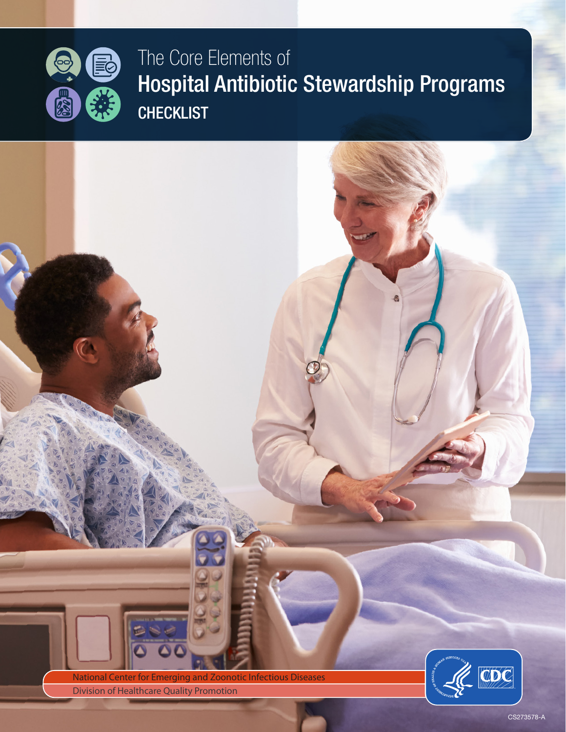

## The Core Elements of Hospital Antibiotic Stewardship Programs **CHECKLIST**

National Center for Emerging and Zoonotic Infectious Diseases **Division of Healthcare Quality Promotion** 

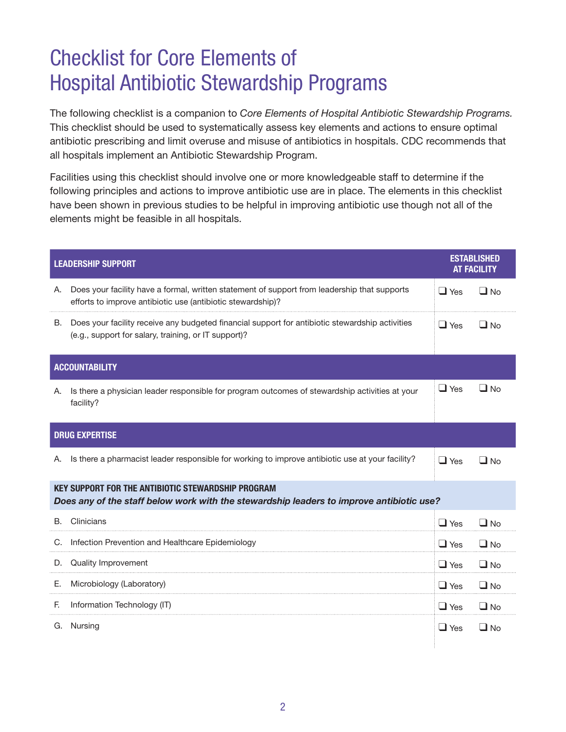## Checklist for Core Elements of Hospital Antibiotic Stewardship Programs

The following checklist is a companion to *Core Elements of Hospital Antibiotic Stewardship Programs.*  This checklist should be used to systematically assess key elements and actions to ensure optimal antibiotic prescribing and limit overuse and misuse of antibiotics in hospitals. CDC recommends that all hospitals implement an Antibiotic Stewardship Program.

Facilities using this checklist should involve one or more knowledgeable staff to determine if the following principles and actions to improve antibiotic use are in place. The elements in this checklist have been shown in previous studies to be helpful in improving antibiotic use though not all of the elements might be feasible in all hospitals.

| <b>LEADERSHIP SUPPORT</b>                                                                                                                             |                                                                                                                                                             | <b>ESTABLISHED</b><br><b>AT FACILITY</b> |              |  |  |
|-------------------------------------------------------------------------------------------------------------------------------------------------------|-------------------------------------------------------------------------------------------------------------------------------------------------------------|------------------------------------------|--------------|--|--|
| Α.                                                                                                                                                    | Does your facility have a formal, written statement of support from leadership that supports<br>efforts to improve antibiotic use (antibiotic stewardship)? | $\Box$ Yes                               | $\Box$ No    |  |  |
| В.                                                                                                                                                    | Does your facility receive any budgeted financial support for antibiotic stewardship activities<br>(e.g., support for salary, training, or IT support)?     | $\Box$ Yes                               | $\Box$ No    |  |  |
| <b>ACCOUNTABILITY</b>                                                                                                                                 |                                                                                                                                                             |                                          |              |  |  |
| А.                                                                                                                                                    | Is there a physician leader responsible for program outcomes of stewardship activities at your<br>facility?                                                 | $\Box$ Yes                               | $\Box$ No    |  |  |
| <b>DRUG EXPERTISE</b>                                                                                                                                 |                                                                                                                                                             |                                          |              |  |  |
| А.                                                                                                                                                    | Is there a pharmacist leader responsible for working to improve antibiotic use at your facility?                                                            | $\Box$ Yes                               | $\Box$ No    |  |  |
| <b>KEY SUPPORT FOR THE ANTIBIOTIC STEWARDSHIP PROGRAM</b><br>Does any of the staff below work with the stewardship leaders to improve antibiotic use? |                                                                                                                                                             |                                          |              |  |  |
| В.                                                                                                                                                    | Clinicians                                                                                                                                                  | $\Box$ Yes                               | $\square$ No |  |  |
|                                                                                                                                                       | C. Infection Prevention and Healthcare Epidemiology                                                                                                         | $\Box$ Yes                               | $\Box$ No    |  |  |
|                                                                                                                                                       | D. Quality Improvement                                                                                                                                      | $\Box$ Yes                               | $\Box$ No    |  |  |
| Е.                                                                                                                                                    | Microbiology (Laboratory)                                                                                                                                   | $\Box$ Yes                               | $\Box$ No    |  |  |
| E.                                                                                                                                                    | Information Technology (IT)                                                                                                                                 | $\Box$ Yes                               | $\Box$ No    |  |  |
|                                                                                                                                                       | G. Nursing                                                                                                                                                  | $\Box$ Yes                               | $\Box$ No    |  |  |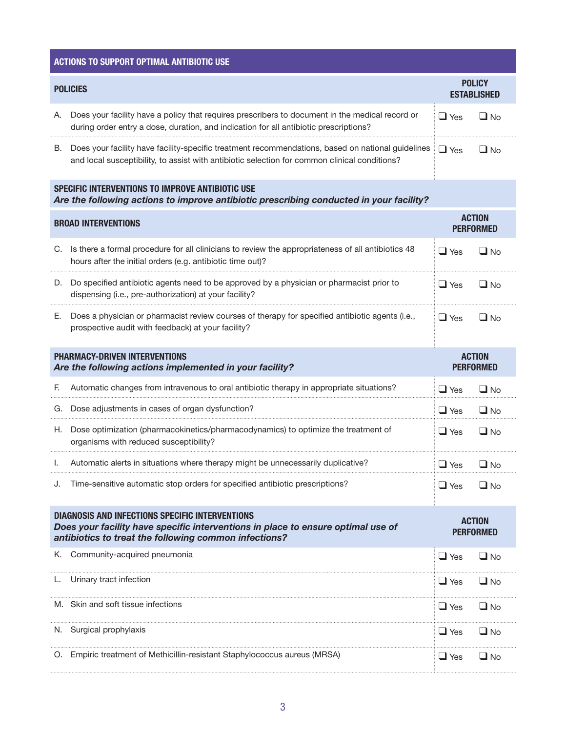| <b>ACTIONS TO SUPPORT OPTIMAL ANTIBIOTIC USE</b>                                                                                                                                                    |                                                                                                                                                                                                    |                                   |                                     |  |  |  |
|-----------------------------------------------------------------------------------------------------------------------------------------------------------------------------------------------------|----------------------------------------------------------------------------------------------------------------------------------------------------------------------------------------------------|-----------------------------------|-------------------------------------|--|--|--|
| <b>POLICIES</b>                                                                                                                                                                                     |                                                                                                                                                                                                    |                                   | <b>POLICY</b><br><b>ESTABLISHED</b> |  |  |  |
| Α.                                                                                                                                                                                                  | Does your facility have a policy that requires prescribers to document in the medical record or<br>during order entry a dose, duration, and indication for all antibiotic prescriptions?           | $\Box$ Yes                        | $\Box$ No                           |  |  |  |
| В.                                                                                                                                                                                                  | Does your facility have facility-specific treatment recommendations, based on national guidelines<br>and local susceptibility, to assist with antibiotic selection for common clinical conditions? | $\Box$ Yes                        | $\Box$ No                           |  |  |  |
|                                                                                                                                                                                                     | SPECIFIC INTERVENTIONS TO IMPROVE ANTIBIOTIC USE<br>Are the following actions to improve antibiotic prescribing conducted in your facility?                                                        |                                   |                                     |  |  |  |
| <b>BROAD INTERVENTIONS</b>                                                                                                                                                                          |                                                                                                                                                                                                    |                                   | <b>ACTION</b><br><b>PERFORMED</b>   |  |  |  |
|                                                                                                                                                                                                     | C. Is there a formal procedure for all clinicians to review the appropriateness of all antibiotics 48<br>hours after the initial orders (e.g. antibiotic time out)?                                | $\Box$ Yes                        | $\Box$ No                           |  |  |  |
|                                                                                                                                                                                                     | D. Do specified antibiotic agents need to be approved by a physician or pharmacist prior to<br>dispensing (i.e., pre-authorization) at your facility?                                              | $\Box$ Yes                        | $\Box$ No                           |  |  |  |
| Е.                                                                                                                                                                                                  | Does a physician or pharmacist review courses of therapy for specified antibiotic agents (i.e.,<br>prospective audit with feedback) at your facility?                                              | $\Box$ Yes                        | $\Box$ No                           |  |  |  |
| <b>PHARMACY-DRIVEN INTERVENTIONS</b><br>Are the following actions implemented in your facility?                                                                                                     |                                                                                                                                                                                                    | <b>ACTION</b><br><b>PERFORMED</b> |                                     |  |  |  |
| F.                                                                                                                                                                                                  | Automatic changes from intravenous to oral antibiotic therapy in appropriate situations?                                                                                                           | $\Box$ Yes                        | $\Box$ No                           |  |  |  |
|                                                                                                                                                                                                     | G. Dose adjustments in cases of organ dysfunction?                                                                                                                                                 | $\Box$ Yes                        | $\Box$ No                           |  |  |  |
| H.,                                                                                                                                                                                                 | Dose optimization (pharmacokinetics/pharmacodynamics) to optimize the treatment of<br>organisms with reduced susceptibility?                                                                       | $\Box$ Yes                        | $\Box$ No                           |  |  |  |
|                                                                                                                                                                                                     | Automatic alerts in situations where therapy might be unnecessarily duplicative?                                                                                                                   | $\Box$ Yes                        | $\Box$ No                           |  |  |  |
| J.                                                                                                                                                                                                  | Time-sensitive automatic stop orders for specified antibiotic prescriptions?                                                                                                                       | $\Box$ Yes                        | $\Box$ No                           |  |  |  |
| <b>DIAGNOSIS AND INFECTIONS SPECIFIC INTERVENTIONS</b><br>Does your facility have specific interventions in place to ensure optimal use of<br>antibiotics to treat the following common infections? |                                                                                                                                                                                                    | <b>ACTION</b><br><b>PERFORMED</b> |                                     |  |  |  |
| K.                                                                                                                                                                                                  | Community-acquired pneumonia                                                                                                                                                                       | $\Box$ Yes                        | $\Box$ No                           |  |  |  |
|                                                                                                                                                                                                     | L. Urinary tract infection                                                                                                                                                                         | $\Box$ Yes                        | $\Box$ No                           |  |  |  |
|                                                                                                                                                                                                     | M. Skin and soft tissue infections                                                                                                                                                                 | $\Box$ Yes                        | $\Box$ No                           |  |  |  |
|                                                                                                                                                                                                     | N. Surgical prophylaxis                                                                                                                                                                            | $\Box$ Yes                        | $\Box$ No                           |  |  |  |
|                                                                                                                                                                                                     | O. Empiric treatment of Methicillin-resistant Staphylococcus aureus (MRSA)                                                                                                                         | $\Box$ Yes                        | $\Box$ No                           |  |  |  |